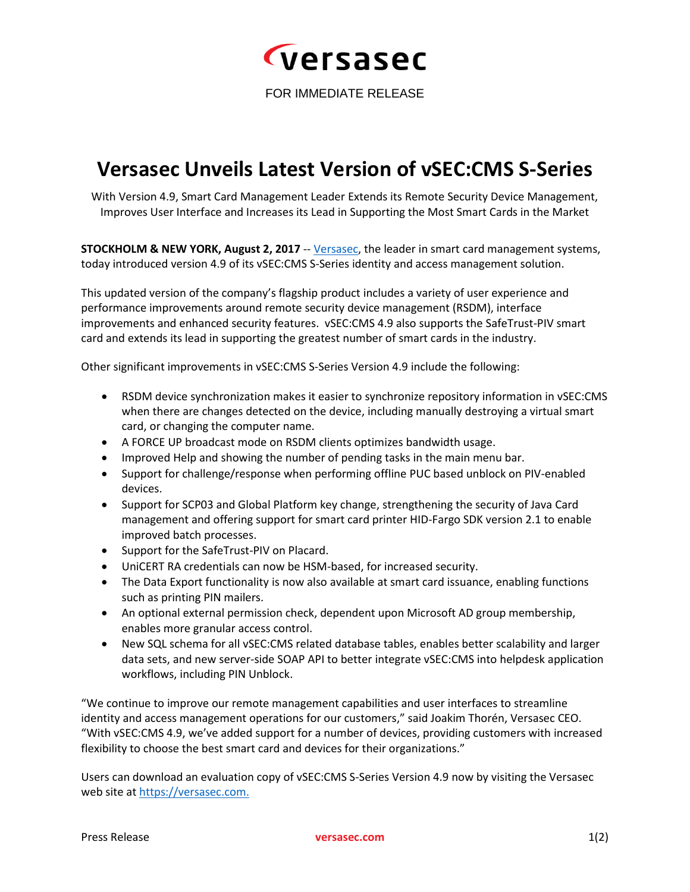

FOR IMMEDIATE RELEASE

## **Versasec Unveils Latest Version of vSEC:CMS S-Series**

With Version 4.9, Smart Card Management Leader Extends its Remote Security Device Management, Improves User Interface and Increases its Lead in Supporting the Most Smart Cards in the Market

**STOCKHOLM & NEW YORK, August 2, 2017** -- [Versasec,](https://versasec.com/) the leader in smart card management systems, today introduced version 4.9 of its vSEC:CMS S-Series identity and access management solution.

This updated version of the company's flagship product includes a variety of user experience and performance improvements around remote security device management (RSDM), interface improvements and enhanced security features. vSEC:CMS 4.9 also supports the SafeTrust-PIV smart card and extends its lead in supporting the greatest number of smart cards in the industry.

Other significant improvements in vSEC:CMS S-Series Version 4.9 include the following:

- RSDM device synchronization makes it easier to synchronize repository information in vSEC:CMS when there are changes detected on the device, including manually destroying a virtual smart card, or changing the computer name.
- A FORCE UP broadcast mode on RSDM clients optimizes bandwidth usage.
- Improved Help and showing the number of pending tasks in the main menu bar.
- Support for challenge/response when performing offline PUC based unblock on PIV-enabled devices.
- Support for SCP03 and Global Platform key change, strengthening the security of Java Card management and offering support for smart card printer HID-Fargo SDK version 2.1 to enable improved batch processes.
- Support for the SafeTrust-PIV on Placard.
- UniCERT RA credentials can now be HSM-based, for increased security.
- The Data Export functionality is now also available at smart card issuance, enabling functions such as printing PIN mailers.
- An optional external permission check, dependent upon Microsoft AD group membership, enables more granular access control.
- New SQL schema for all vSEC:CMS related database tables, enables better scalability and larger data sets, and new server-side SOAP API to better integrate vSEC:CMS into helpdesk application workflows, including PIN Unblock.

"We continue to improve our remote management capabilities and user interfaces to streamline identity and access management operations for our customers," said Joakim Thorén, Versasec CEO. "With vSEC:CMS 4.9, we've added support for a number of devices, providing customers with increased flexibility to choose the best smart card and devices for their organizations."

Users can download an evaluation copy of vSEC:CMS S-Series Version 4.9 now by visiting the Versasec web site a[t https://versasec.com.](https://versasec.com/)